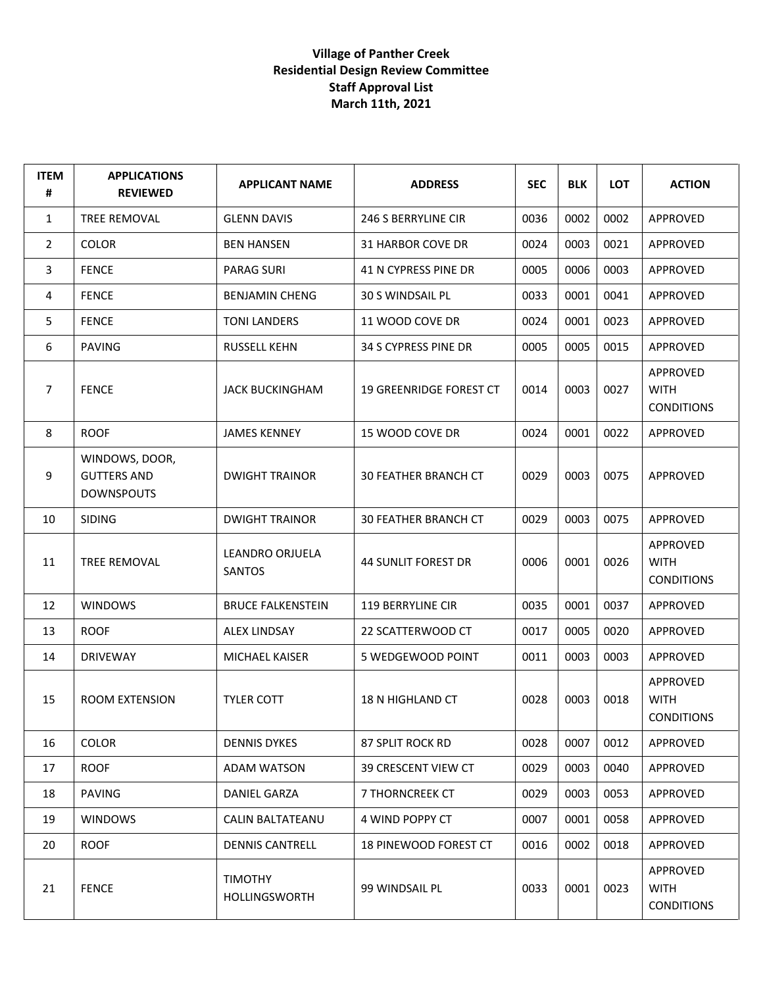## **Village of Panther Creek Residential Design Review Committee Staff Approval List March 11th, 2021**

| <b>ITEM</b><br># | <b>APPLICATIONS</b><br><b>REVIEWED</b>                    | <b>APPLICANT NAME</b>            | <b>ADDRESS</b>                 | <b>SEC</b> | <b>BLK</b> | <b>LOT</b> | <b>ACTION</b>                                |
|------------------|-----------------------------------------------------------|----------------------------------|--------------------------------|------------|------------|------------|----------------------------------------------|
| $\mathbf{1}$     | <b>TREE REMOVAL</b>                                       | <b>GLENN DAVIS</b>               | 246 S BERRYLINE CIR            | 0036       | 0002       | 0002       | APPROVED                                     |
| $\overline{2}$   | <b>COLOR</b>                                              | <b>BEN HANSEN</b>                | 31 HARBOR COVE DR              | 0024       | 0003       | 0021       | APPROVED                                     |
| 3                | <b>FENCE</b>                                              | <b>PARAG SURI</b>                | 41 N CYPRESS PINE DR           | 0005       | 0006       | 0003       | APPROVED                                     |
| 4                | <b>FENCE</b>                                              | <b>BENJAMIN CHENG</b>            | <b>30 S WINDSAIL PL</b>        | 0033       | 0001       | 0041       | APPROVED                                     |
| 5                | <b>FENCE</b>                                              | <b>TONI LANDERS</b>              | 11 WOOD COVE DR                | 0024       | 0001       | 0023       | APPROVED                                     |
| 6                | <b>PAVING</b>                                             | <b>RUSSELL KEHN</b>              | 34 S CYPRESS PINE DR           | 0005       | 0005       | 0015       | APPROVED                                     |
| 7                | <b>FENCE</b>                                              | <b>JACK BUCKINGHAM</b>           | <b>19 GREENRIDGE FOREST CT</b> | 0014       | 0003       | 0027       | APPROVED<br><b>WITH</b><br><b>CONDITIONS</b> |
| 8                | <b>ROOF</b>                                               | <b>JAMES KENNEY</b>              | 15 WOOD COVE DR                | 0024       | 0001       | 0022       | APPROVED                                     |
| 9                | WINDOWS, DOOR,<br><b>GUTTERS AND</b><br><b>DOWNSPOUTS</b> | <b>DWIGHT TRAINOR</b>            | <b>30 FEATHER BRANCH CT</b>    | 0029       | 0003       | 0075       | APPROVED                                     |
| 10               | <b>SIDING</b>                                             | <b>DWIGHT TRAINOR</b>            | <b>30 FEATHER BRANCH CT</b>    | 0029       | 0003       | 0075       | APPROVED                                     |
| 11               | TREE REMOVAL                                              | LEANDRO ORJUELA<br><b>SANTOS</b> | <b>44 SUNLIT FOREST DR</b>     | 0006       | 0001       | 0026       | APPROVED<br><b>WITH</b><br><b>CONDITIONS</b> |
| 12               | <b>WINDOWS</b>                                            | <b>BRUCE FALKENSTEIN</b>         | <b>119 BERRYLINE CIR</b>       | 0035       | 0001       | 0037       | APPROVED                                     |
| 13               | <b>ROOF</b>                                               | <b>ALEX LINDSAY</b>              | 22 SCATTERWOOD CT              | 0017       | 0005       | 0020       | APPROVED                                     |
| 14               | <b>DRIVEWAY</b>                                           | <b>MICHAEL KAISER</b>            | 5 WEDGEWOOD POINT              | 0011       | 0003       | 0003       | APPROVED                                     |
| 15               | <b>ROOM EXTENSION</b>                                     | <b>TYLER COTT</b>                | 18 N HIGHLAND CT               | 0028       | 0003       | 0018       | APPROVED<br><b>WITH</b><br><b>CONDITIONS</b> |
| 16               | <b>COLOR</b>                                              | <b>DENNIS DYKES</b>              | 87 SPLIT ROCK RD               | 0028       | 0007       | 0012       | APPROVED                                     |
| 17               | <b>ROOF</b>                                               | <b>ADAM WATSON</b>               | 39 CRESCENT VIEW CT            | 0029       | 0003       | 0040       | APPROVED                                     |
| 18               | <b>PAVING</b>                                             | DANIEL GARZA                     | 7 THORNCREEK CT                | 0029       | 0003       | 0053       | APPROVED                                     |
| 19               | <b>WINDOWS</b>                                            | <b>CALIN BALTATEANU</b>          | 4 WIND POPPY CT                | 0007       | 0001       | 0058       | APPROVED                                     |
| 20               | <b>ROOF</b>                                               | <b>DENNIS CANTRELL</b>           | <b>18 PINEWOOD FOREST CT</b>   | 0016       | 0002       | 0018       | APPROVED                                     |
| 21               | <b>FENCE</b>                                              | <b>TIMOTHY</b><br>HOLLINGSWORTH  | 99 WINDSAIL PL                 | 0033       | 0001       | 0023       | APPROVED<br>WITH<br><b>CONDITIONS</b>        |